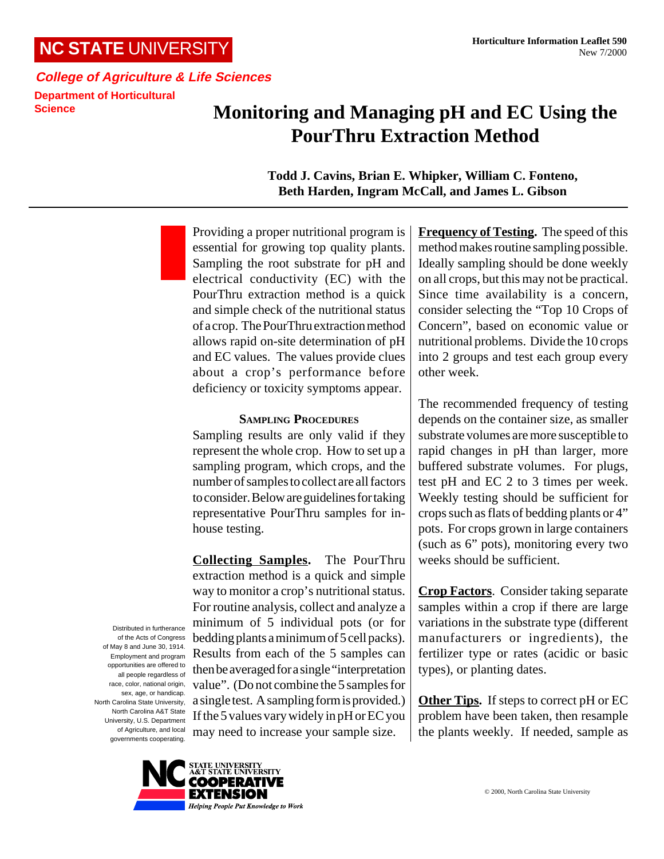### **NC STATE** UNIVERSITY

## **Monitoring and Managing pH and EC Using the PourThru Extraction Method**

**Todd J. Cavins, Brian E. Whipker, William C. Fonteno, Beth Harden, Ingram McCall, and James L. Gibson**

Providing a proper nutritional program is essential for growing top quality plants. Sampling the root substrate for pH and electrical conductivity (EC) with the PourThru extraction method is a quick and simple check of the nutritional status of a crop. The PourThru extraction method allows rapid on-site determination of pH and EC values. The values provide clues about a crop's performance before deficiency or toxicity symptoms appear.

#### **SAMPLING PROCEDURES**

Sampling results are only valid if they represent the whole crop. How to set up a sampling program, which crops, and the number of samples to collect are all factors to consider. Below are guidelines for taking representative PourThru samples for inhouse testing.

**Collecting Samples.** The PourThru extraction method is a quick and simple way to monitor a crop's nutritional status. For routine analysis, collect and analyze a minimum of 5 individual pots (or for bedding plants a minimum of 5 cell packs). Results from each of the 5 samples can then be averaged for a single "interpretation value". (Do not combine the 5 samples for a single test. A sampling form is provided.) If the 5 values vary widely in pH or EC you may need to increase your sample size.

**Frequency of Testing.** The speed of this method makes routine sampling possible. Ideally sampling should be done weekly on all crops, but this may not be practical. Since time availability is a concern, consider selecting the "Top 10 Crops of Concern", based on economic value or nutritional problems. Divide the 10 crops into 2 groups and test each group every other week.

The recommended frequency of testing depends on the container size, as smaller substrate volumes are more susceptible to rapid changes in pH than larger, more buffered substrate volumes. For plugs, test pH and EC 2 to 3 times per week. Weekly testing should be sufficient for crops such as flats of bedding plants or 4" pots. For crops grown in large containers (such as 6" pots), monitoring every two weeks should be sufficient.

**Crop Factors**. Consider taking separate samples within a crop if there are large variations in the substrate type (different manufacturers or ingredients), the fertilizer type or rates (acidic or basic types), or planting dates.

**Other Tips.** If steps to correct pH or EC problem have been taken, then resample the plants weekly. If needed, sample as

Distributed in furtherance of the Acts of Congress of May 8 and June 30, 1914. Employment and program opportunities are offered to all people regardless of race, color, national origin, sex, age, or handicap. North Carolina State University, North Carolina A&T State University, U.S. Department of Agriculture, and local governments cooperating.

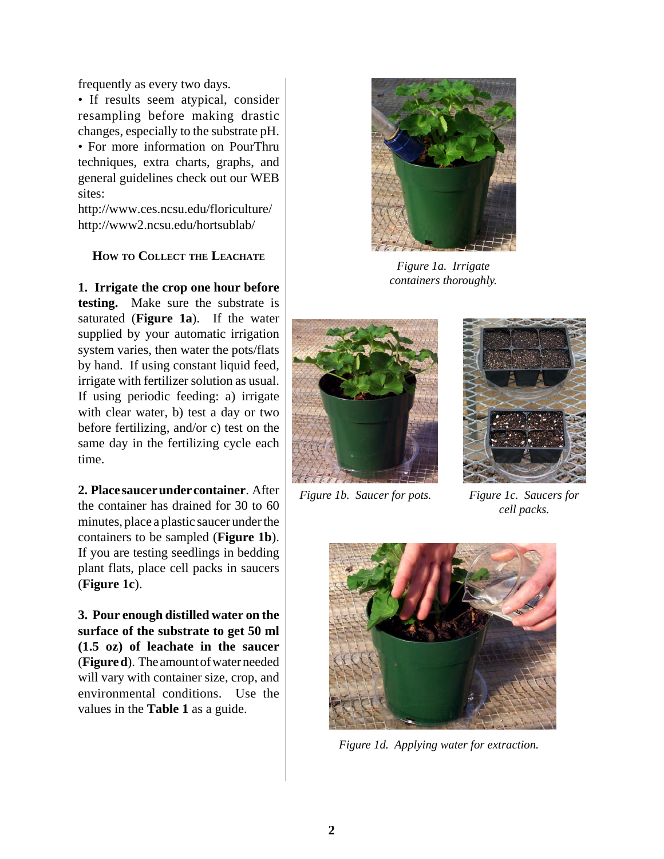frequently as every two days.

• If results seem atypical, consider resampling before making drastic changes, especially to the substrate pH.

• For more information on PourThru techniques, extra charts, graphs, and general guidelines check out our WEB sites:

http://www.ces.ncsu.edu/floriculture/ http://www2.ncsu.edu/hortsublab/

#### **HOW TO COLLECT THE LEACHATE**

**1. Irrigate the crop one hour before testing.** Make sure the substrate is saturated (**Figure 1a**). If the water supplied by your automatic irrigation system varies, then water the pots/flats by hand. If using constant liquid feed, irrigate with fertilizer solution as usual. If using periodic feeding: a) irrigate with clear water, b) test a day or two before fertilizing, and/or c) test on the same day in the fertilizing cycle each time.

**2. Place saucer under container**. After the container has drained for 30 to 60 minutes, place a plastic saucer under the containers to be sampled (**Figure 1b**). If you are testing seedlings in bedding plant flats, place cell packs in saucers (**Figure 1c**).

**3. Pour enough distilled water on the surface of the substrate to get 50 ml (1.5 oz) of leachate in the saucer** (**Figure d**). The amount of water needed will vary with container size, crop, and environmental conditions. Use the values in the **Table 1** as a guide.



*Figure 1a. Irrigate containers thoroughly.*



*Figure 1b. Saucer for pots. Figure 1c. Saucers for*



*cell packs.*



*Figure 1d. Applying water for extraction.*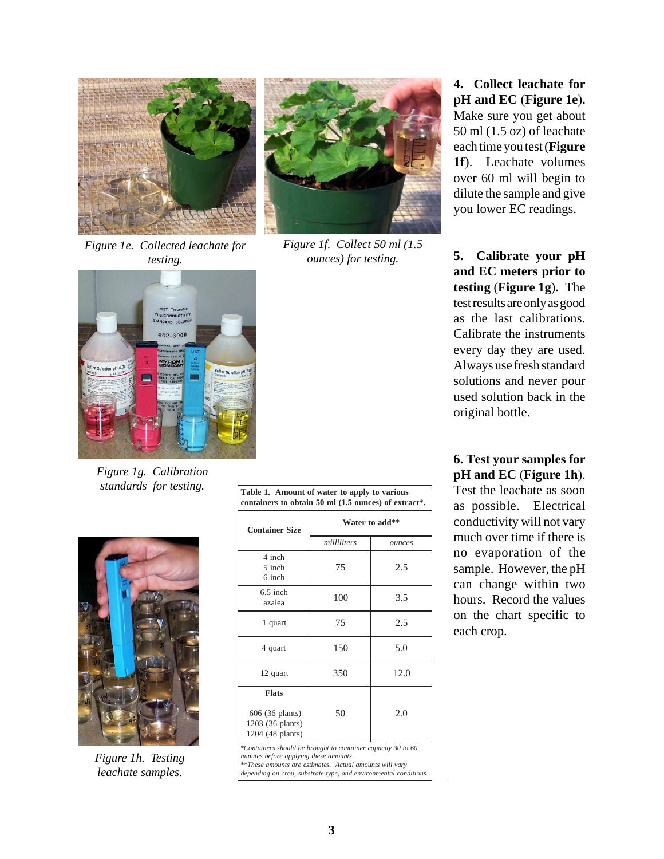

*Figure 1e. Collected leachate for testing.*



*Figure 1f. Collect 50 ml (1.5 ounces) for testing.*



*Figure 1g. Calibration standards for testing.*



*Figure 1h. Testing leachate samples.*

| containers to obtain 50 ml (1.5 ounces) of extract*. |             |                |
|------------------------------------------------------|-------------|----------------|
| <b>Container Size</b>                                |             | Water to add** |
|                                                      | milliliters | ounces         |
| 4 inch<br>5 inch<br>6 inch                           | 75          | 2.5            |
| - - -                                                |             |                |

**Table 1. Amount of water to apply to various**

6.5 inch  $\frac{1.5 \text{ m}}{2.5 \text{ m}}$  100 3.5 1 quart  $\begin{array}{|c|c|c|c|c|} \hline 1 & 75 & 2.5 \\ \hline \end{array}$ 4 quart 150 5.0 12 quart  $350$  12.0 **Flats** 606 (36 plants) 1203 (36 plants) 1204 (48 plants)  $50 \t 2.0$ 

*\*Containers should be brought to container capacity 30 to 60 minutes before applying these amounts. \*\*These amounts are estimates. Actual amounts will vary*

*depending on crop, substrate type, and environmental conditions.*

**4. Collect leachate for pH and EC** (**Figure 1e**)**.** Make sure you get about 50 ml (1.5 oz) of leachate each time you test (**Figure 1f**). Leachate volumes over 60 ml will begin to dilute the sample and give you lower EC readings.

**5. Calibrate your pH and EC meters prior to testing** (**Figure 1g**)**.** The test results are only as good as the last calibrations. Calibrate the instruments every day they are used. Always use fresh standard solutions and never pour used solution back in the original bottle.

**6. Test your samples for pH and EC** (**Figure 1h**). Test the leachate as soon as possible. Electrical conductivity will not vary much over time if there is no evaporation of the sample. However, the pH can change within two hours. Record the values on the chart specific to each crop.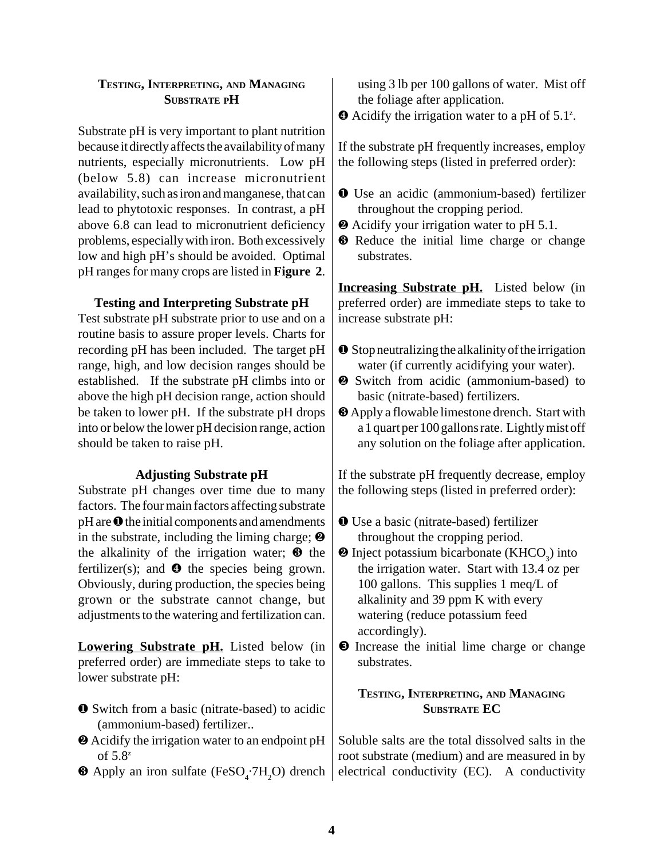#### **TESTING, INTERPRETING, AND MANAGING SUBSTRATE PH**

Substrate pH is very important to plant nutrition because it directly affects the availability of many nutrients, especially micronutrients. Low pH (below 5.8) can increase micronutrient availability, such as iron and manganese, that can lead to phytotoxic responses. In contrast, a pH above 6.8 can lead to micronutrient deficiency problems, especially with iron. Both excessively low and high pH's should be avoided. Optimal pH ranges for many crops are listed in **Figure 2**.

#### **Testing and Interpreting Substrate pH**

Test substrate pH substrate prior to use and on a routine basis to assure proper levels. Charts for recording pH has been included. The target pH range, high, and low decision ranges should be established. If the substrate pH climbs into or above the high pH decision range, action should be taken to lower pH. If the substrate pH drops into or below the lower pH decision range, action should be taken to raise pH.

#### **Adjusting Substrate pH**

Substrate pH changes over time due to many factors. The four main factors affecting substrate pH are ❶ the initial components and amendments in the substrate, including the liming charge;  $\odot$ the alkalinity of the irrigation water;  $\Theta$  the fertilizer(s); and  $\bullet$  the species being grown. Obviously, during production, the species being grown or the substrate cannot change, but adjustments to the watering and fertilization can.

**Lowering Substrate pH.** Listed below (in preferred order) are immediate steps to take to lower substrate pH:

- ❶ Switch from a basic (nitrate-based) to acidic (ammonium-based) fertilizer..
- ❷ Acidify the irrigation water to an endpoint pH of  $5.8^z$
- $\bullet$  Apply an iron sulfate (FeSO<sub>4</sub>.7H<sub>2</sub>O) drench

using 3 lb per 100 gallons of water. Mist off the foliage after application.

❹ Acidify the irrigation water to a pH of 5.1z .

If the substrate pH frequently increases, employ the following steps (listed in preferred order):

- ❶ Use an acidic (ammonium-based) fertilizer throughout the cropping period.
- ❷ Acidify your irrigation water to pH 5.1.
- ❸ Reduce the initial lime charge or change substrates.

**Increasing Substrate pH.** Listed below (in preferred order) are immediate steps to take to increase substrate pH:

- ❶ Stop neutralizing the alkalinity of the irrigation water (if currently acidifying your water).
- ❷ Switch from acidic (ammonium-based) to basic (nitrate-based) fertilizers.
- ❸ Apply a flowable limestone drench. Start with a 1 quart per 100 gallons rate. Lightly mist off any solution on the foliage after application.

If the substrate pH frequently decrease, employ the following steps (listed in preferred order):

- ❶ Use a basic (nitrate-based) fertilizer throughout the cropping period.
- $\bullet$  Inject potassium bicarbonate (KHCO<sub>3</sub>) into the irrigation water. Start with 13.4 oz per 100 gallons. This supplies 1 meq/L of alkalinity and 39 ppm K with every watering (reduce potassium feed accordingly).
- ❸ Increase the initial lime charge or change substrates.

#### **TESTING, INTERPRETING, AND MANAGING SUBSTRATE EC**

Soluble salts are the total dissolved salts in the root substrate (medium) and are measured in by electrical conductivity (EC). A conductivity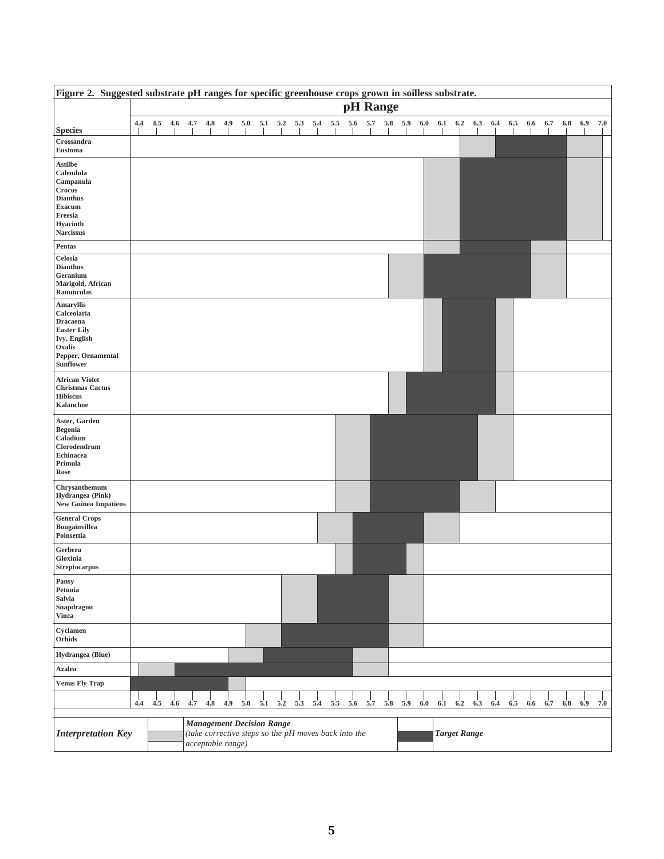| Figure 2. Suggested substrate pH ranges for specific greenhouse crops grown in soilless substrate.                                       |     |     |     |     |     |                                                                                                               |     |     |     |     |     |     |     |          |     |     |     |                     |     |                                                                             |     |     |     |     |     |     |     |
|------------------------------------------------------------------------------------------------------------------------------------------|-----|-----|-----|-----|-----|---------------------------------------------------------------------------------------------------------------|-----|-----|-----|-----|-----|-----|-----|----------|-----|-----|-----|---------------------|-----|-----------------------------------------------------------------------------|-----|-----|-----|-----|-----|-----|-----|
|                                                                                                                                          |     |     |     |     |     |                                                                                                               |     |     |     |     |     |     |     | pH Range |     |     |     |                     |     |                                                                             |     |     |     |     |     |     |     |
| <b>Species</b>                                                                                                                           | 4.4 |     |     |     |     |                                                                                                               |     |     |     |     |     |     |     |          |     |     |     |                     |     | 4.5 4.6 4.7 4.8 4.9 5.0 5.1 5.2 5.3 5.4 5.5 5.6 5.7 5.8 5.9 6.0 6.1 6.2 6.3 | 6.4 | 6.5 | 6.6 | 6.7 | 6.8 | 6.9 | 7.0 |
| Crossandra<br>Eustoma                                                                                                                    |     |     |     |     |     |                                                                                                               |     |     |     |     |     |     |     |          |     |     |     |                     |     |                                                                             |     |     |     |     |     |     |     |
| <b>Astilbe</b><br>Calendula<br>Campanula<br>Crocus<br><b>Dianthus</b><br><b>Exacum</b><br>Freesia<br><b>Hyacinth</b><br><b>Narcissus</b> |     |     |     |     |     |                                                                                                               |     |     |     |     |     |     |     |          |     |     |     |                     |     |                                                                             |     |     |     |     |     |     |     |
| Pentas                                                                                                                                   |     |     |     |     |     |                                                                                                               |     |     |     |     |     |     |     |          |     |     |     |                     |     |                                                                             |     |     |     |     |     |     |     |
| Celosia<br><b>Dianthus</b><br>Geranium<br>Marigold, African<br>Ranunculas<br><b>Amaryllis</b>                                            |     |     |     |     |     |                                                                                                               |     |     |     |     |     |     |     |          |     |     |     |                     |     |                                                                             |     |     |     |     |     |     |     |
| Calceolaria<br><b>Dracaena</b><br><b>Easter Lily</b><br>Ivy, English<br>Oxalis<br>Pepper, Ornamental<br>Sunflower                        |     |     |     |     |     |                                                                                                               |     |     |     |     |     |     |     |          |     |     |     |                     |     |                                                                             |     |     |     |     |     |     |     |
| <b>African Violet</b><br><b>Christmas Cactus</b><br><b>Hibiscus</b><br>Kalanchoe                                                         |     |     |     |     |     |                                                                                                               |     |     |     |     |     |     |     |          |     |     |     |                     |     |                                                                             |     |     |     |     |     |     |     |
| Aster, Garden<br><b>Begonia</b><br>Caladium<br>Clerodendrum<br><b>Echinacea</b><br>Primula<br>Rose                                       |     |     |     |     |     |                                                                                                               |     |     |     |     |     |     |     |          |     |     |     |                     |     |                                                                             |     |     |     |     |     |     |     |
| Chrysanthemum<br>Hydrangea (Pink)<br><b>New Guinea Impatiens</b>                                                                         |     |     |     |     |     |                                                                                                               |     |     |     |     |     |     |     |          |     |     |     |                     |     |                                                                             |     |     |     |     |     |     |     |
| <b>General Crops</b><br>Bougainvillea<br>Poinsettia                                                                                      |     |     |     |     |     |                                                                                                               |     |     |     |     |     |     |     |          |     |     |     |                     |     |                                                                             |     |     |     |     |     |     |     |
| Gerbera<br>Gloxinia<br><b>Streptocarpus</b>                                                                                              |     |     |     |     |     |                                                                                                               |     |     |     |     |     |     |     |          |     |     |     |                     |     |                                                                             |     |     |     |     |     |     |     |
| Pansy<br>Petunia<br>Salvia<br>Snapdragon<br><b>Vinca</b>                                                                                 |     |     |     |     |     |                                                                                                               |     |     |     |     |     |     |     |          |     |     |     |                     |     |                                                                             |     |     |     |     |     |     |     |
| Cyclamen<br>Orhids                                                                                                                       |     |     |     |     |     |                                                                                                               |     |     |     |     |     |     |     |          |     |     |     |                     |     |                                                                             |     |     |     |     |     |     |     |
| Hydrangea (Blue)                                                                                                                         |     |     |     |     |     |                                                                                                               |     |     |     |     |     |     |     |          |     |     |     |                     |     |                                                                             |     |     |     |     |     |     |     |
| <b>Azalea</b>                                                                                                                            |     |     |     |     |     |                                                                                                               |     |     |     |     |     |     |     |          |     |     |     |                     |     |                                                                             |     |     |     |     |     |     |     |
| <b>Venus Fly Trap</b>                                                                                                                    |     |     |     |     |     |                                                                                                               |     |     |     |     |     |     |     |          |     |     |     |                     |     |                                                                             |     |     |     |     |     |     |     |
|                                                                                                                                          | 4.4 | 4.5 | 4.6 | 4.7 | 4.8 | 4.9                                                                                                           | 5.0 | 5.1 | 5.2 | 5.3 | 5.4 | 5.5 | 5.6 | 5.7      | 5.8 | 5.9 | 6.0 | 6.1                 | 6.2 | 6.3                                                                         | 6.4 | 6.5 | 6.6 | 6.7 | 6.8 | 6.9 | 7.0 |
| <b>Interpretation Key</b>                                                                                                                |     |     |     |     |     | <b>Management Decision Range</b><br>(take corrective steps so the pH moves back into the<br>acceptable range) |     |     |     |     |     |     |     |          |     |     |     | <b>Target Range</b> |     |                                                                             |     |     |     |     |     |     |     |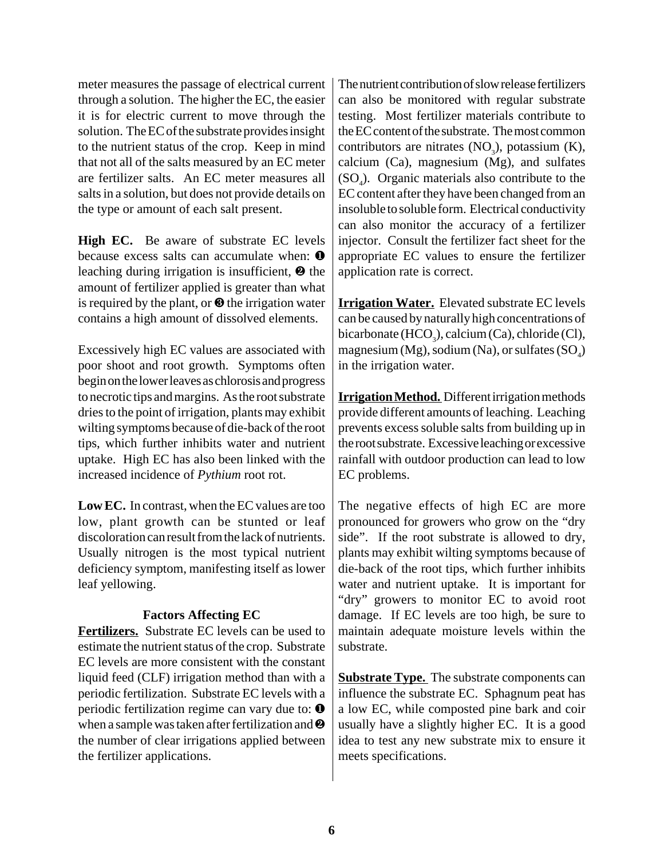meter measures the passage of electrical current through a solution. The higher the EC, the easier it is for electric current to move through the solution. The EC of the substrate provides insight to the nutrient status of the crop. Keep in mind that not all of the salts measured by an EC meter are fertilizer salts. An EC meter measures all salts in a solution, but does not provide details on the type or amount of each salt present.

**High EC.** Be aware of substrate EC levels because excess salts can accumulate when:  $\bullet$ leaching during irrigation is insufficient, ❷ the amount of fertilizer applied is greater than what is required by the plant, or  $\Theta$  the irrigation water contains a high amount of dissolved elements.

Excessively high EC values are associated with poor shoot and root growth. Symptoms often begin on the lower leaves as chlorosis and progress to necrotic tips and margins. As the root substrate dries to the point of irrigation, plants may exhibit wilting symptoms because of die-back of the root tips, which further inhibits water and nutrient uptake. High EC has also been linked with the increased incidence of *Pythium* root rot.

**Low EC.** In contrast, when the EC values are too low, plant growth can be stunted or leaf discoloration can result from the lack of nutrients. Usually nitrogen is the most typical nutrient deficiency symptom, manifesting itself as lower leaf yellowing.

#### **Factors Affecting EC**

**Fertilizers.** Substrate EC levels can be used to estimate the nutrient status of the crop. Substrate EC levels are more consistent with the constant liquid feed (CLF) irrigation method than with a periodic fertilization. Substrate EC levels with a periodic fertilization regime can vary due to: ❶ when a sample was taken after fertilization and ❷ the number of clear irrigations applied between the fertilizer applications.

The nutrient contribution of slow release fertilizers can also be monitored with regular substrate testing. Most fertilizer materials contribute to the EC content of the substrate. The most common contributors are nitrates  $(NO<sub>3</sub>)$ , potassium  $(K)$ , calcium (Ca), magnesium (Mg), and sulfates  $(SO<sub>4</sub>)$ . Organic materials also contribute to the EC content after they have been changed from an insoluble to soluble form. Electrical conductivity can also monitor the accuracy of a fertilizer injector. Consult the fertilizer fact sheet for the appropriate EC values to ensure the fertilizer application rate is correct.

**Irrigation Water.** Elevated substrate EC levels can be caused by naturally high concentrations of bicarbonate (HCO<sub>3</sub>), calcium (Ca), chloride (Cl), magnesium (Mg), sodium (Na), or sulfates (SO $_{4}$ ) in the irrigation water.

**Irrigation Method.** Different irrigation methods provide different amounts of leaching. Leaching prevents excess soluble salts from building up in the root substrate. Excessive leaching or excessive rainfall with outdoor production can lead to low EC problems.

The negative effects of high EC are more pronounced for growers who grow on the "dry side". If the root substrate is allowed to dry, plants may exhibit wilting symptoms because of die-back of the root tips, which further inhibits water and nutrient uptake. It is important for "dry" growers to monitor EC to avoid root damage. If EC levels are too high, be sure to maintain adequate moisture levels within the substrate.

**Substrate Type.** The substrate components can influence the substrate EC. Sphagnum peat has a low EC, while composted pine bark and coir usually have a slightly higher EC. It is a good idea to test any new substrate mix to ensure it meets specifications.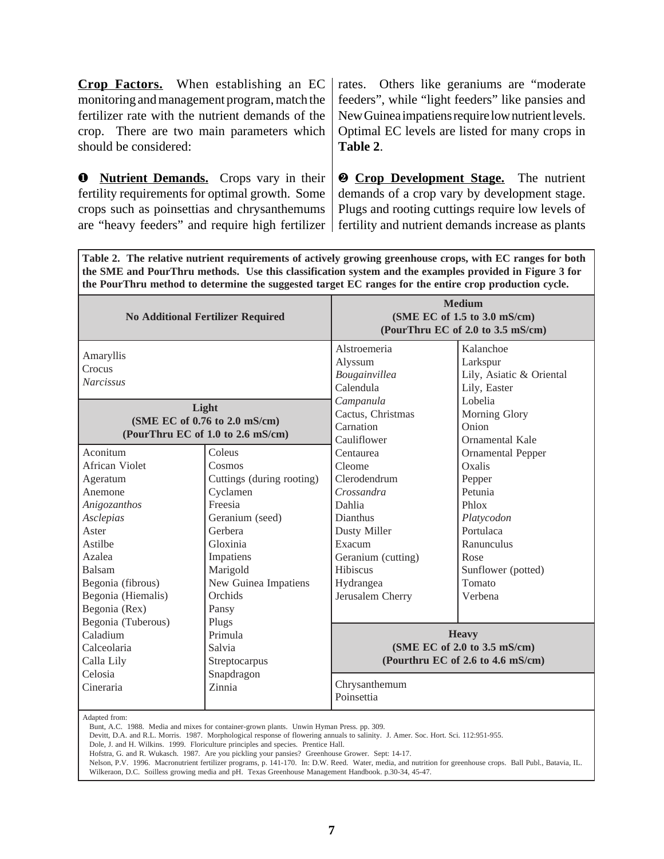**Crop Factors.** When establishing an EC monitoring and management program, match the fertilizer rate with the nutrient demands of the crop. There are two main parameters which should be considered:

❶ **Nutrient Demands.** Crops vary in their fertility requirements for optimal growth. Some crops such as poinsettias and chrysanthemums rates. Others like geraniums are "moderate feeders", while "light feeders" like pansies and New Guinea impatiens require low nutrient levels. Optimal EC levels are listed for many crops in **Table 2**.

are "heavy feeders" and require high fertilizer | fertility and nutrient demands increase as plants ❷ **Crop Development Stage.** The nutrient demands of a crop vary by development stage. Plugs and rooting cuttings require low levels of

**Table 2. The relative nutrient requirements of actively growing greenhouse crops, with EC ranges for both the SME and PourThru methods. Use this classification system and the examples provided in Figure 3 for the PourThru method to determine the suggested target EC ranges for the entire crop production cycle.**

|                                                                                                                                                                                                          | <b>No Additional Fertilizer Required</b>                                                                                                                                                     |                                                                                                                                                                      | <b>Medium</b><br>(SME EC of 1.5 to 3.0 mS/cm)<br>(PourThru EC of 2.0 to 3.5 mS/cm)                                                                           |
|----------------------------------------------------------------------------------------------------------------------------------------------------------------------------------------------------------|----------------------------------------------------------------------------------------------------------------------------------------------------------------------------------------------|----------------------------------------------------------------------------------------------------------------------------------------------------------------------|--------------------------------------------------------------------------------------------------------------------------------------------------------------|
| Amaryllis<br>Crocus<br><b>Narcissus</b>                                                                                                                                                                  |                                                                                                                                                                                              | Alstroemeria<br>Alyssum<br>Bougainvillea<br>Calendula                                                                                                                | Kalanchoe<br>Larkspur<br>Lily, Asiatic & Oriental<br>Lily, Easter                                                                                            |
|                                                                                                                                                                                                          | Light<br>(SME EC of 0.76 to 2.0 mS/cm)<br>(PourThru EC of 1.0 to 2.6 mS/cm)                                                                                                                  | Campanula<br>Cactus, Christmas<br>Carnation<br>Cauliflower                                                                                                           | Lobelia<br>Morning Glory<br>Onion<br>Ornamental Kale                                                                                                         |
| Aconitum<br>African Violet<br>Ageratum<br>Anemone<br>Anigozanthos<br>Asclepias<br>Aster<br>Astilbe<br>Azalea<br>Balsam<br>Begonia (fibrous)<br>Begonia (Hiemalis)<br>Begonia (Rex)<br>Begonia (Tuberous) | Coleus<br>Cosmos<br>Cuttings (during rooting)<br>Cyclamen<br>Freesia<br>Geranium (seed)<br>Gerbera<br>Gloxinia<br>Impatiens<br>Marigold<br>New Guinea Impatiens<br>Orchids<br>Pansy<br>Plugs | Centaurea<br>Cleome<br>Clerodendrum<br>Crossandra<br>Dahlia<br>Dianthus<br>Dusty Miller<br>Exacum<br>Geranium (cutting)<br>Hibiscus<br>Hydrangea<br>Jerusalem Cherry | <b>Ornamental Pepper</b><br>Oxalis<br>Pepper<br>Petunia<br>Phlox<br>Platycodon<br>Portulaca<br>Ranunculus<br>Rose<br>Sunflower (potted)<br>Tomato<br>Verbena |
| Caladium<br>Calceolaria<br>Calla Lily<br>Celosia<br>Cineraria                                                                                                                                            | Primula<br>Salvia<br>Streptocarpus<br>Snapdragon<br>Zinnia                                                                                                                                   | Chrysanthemum<br>Poinsettia                                                                                                                                          | <b>Heavy</b><br>(SME EC of 2.0 to 3.5 mS/cm)<br>(Pourthru EC of 2.6 to 4.6 mS/cm)                                                                            |
| Adapted from:                                                                                                                                                                                            |                                                                                                                                                                                              |                                                                                                                                                                      |                                                                                                                                                              |

Bunt, A.C. 1988. Media and mixes for container-grown plants. Unwin Hyman Press. pp. 309.

Devitt, D.A. and R.L. Morris. 1987. Morphological response of flowering annuals to salinity. J. Amer. Soc. Hort. Sci. 112:951-955.

Dole, J. and H. Wilkins. 1999. Floriculture principles and species. Prentice Hall.

Hofstra, G. and R. Wukasch. 1987. Are you pickling your pansies? Greenhouse Grower. Sept: 14-17.

Nelson, P.V. 1996. Macronutrient fertilizer programs, p. 141-170. In: D.W. Reed. Water, media, and nutrition for greenhouse crops. Ball Publ., Batavia, IL. Wilkeraon, D.C. Soilless growing media and pH. Texas Greenhouse Management Handbook. p.30-34, 45-47.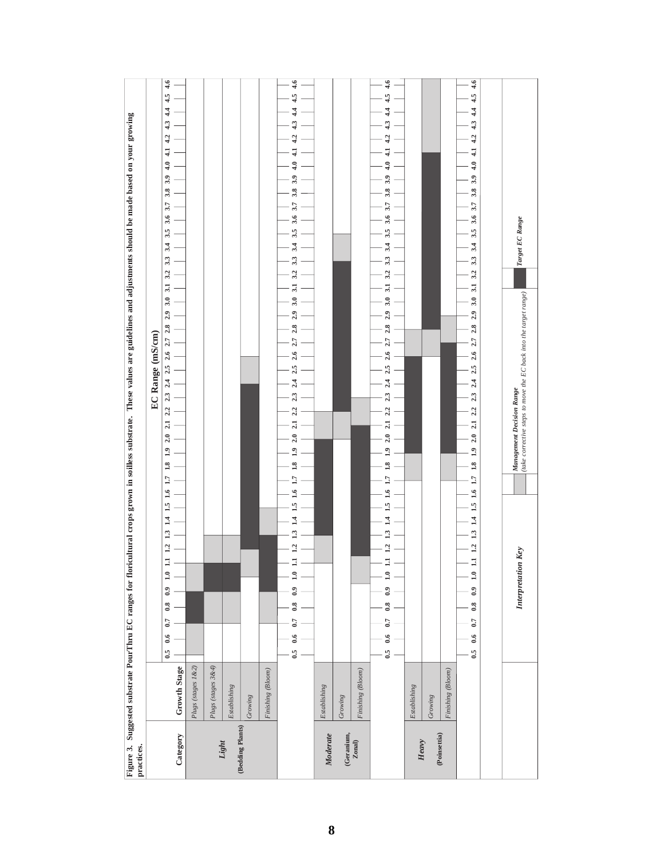| practices.               |                      | Figure 3. Suggested substrate PourThru EC ranges for floricultural crops grown in soilless substrate. These values are guidelines and adjustments should be made based on your growing                                                                                                                                                                                                     |
|--------------------------|----------------------|--------------------------------------------------------------------------------------------------------------------------------------------------------------------------------------------------------------------------------------------------------------------------------------------------------------------------------------------------------------------------------------------|
|                          |                      | EC Range (mS/cm)                                                                                                                                                                                                                                                                                                                                                                           |
| Category                 | Growth Stage         | $\overline{4.6}$<br>4.5<br>4.4<br>4.3<br>4.2<br>$\ddot{4}$<br>4.0<br>3.9<br>3.8<br>3.7<br>3.6<br>3.5<br>3.4<br>3.3<br>3.2<br>3.1<br>3.0<br>2.9<br>$2.5$ $2.6$ $2.7$ $2.8$<br>2.32.4<br>2.2<br>2.1<br>2.0<br>$\overline{1.9}$<br>1.8<br>1.7<br>1.6<br>$\frac{1}{2}$<br>$\vec{=}$<br>1.3<br>1.2<br>$\overline{\mathbf{r}}$<br>$\ddot{=}$<br>$_{0.9}$<br>$_{0.8}$<br>0.7<br>0.6<br>$\ddot{6}$ |
|                          | Plugs (stages 1 & 2) |                                                                                                                                                                                                                                                                                                                                                                                            |
|                          | Plugs (stages 3&4)   |                                                                                                                                                                                                                                                                                                                                                                                            |
| Light                    | Establishing         |                                                                                                                                                                                                                                                                                                                                                                                            |
| (Bedding Plants)         | Growing              |                                                                                                                                                                                                                                                                                                                                                                                            |
|                          | Finishing (Bloom)    |                                                                                                                                                                                                                                                                                                                                                                                            |
|                          |                      | 4.6<br>4.4 4.5<br>43<br>4.2<br>3.94.0<br>3.8<br>3.7<br>3.5 3.6<br>3.4<br>3.3<br>3.2<br>3.1<br>$2.4$ $2.5$ $2.6$ $2.7$ $2.8$ $2.9$ $3.0$<br>23<br>2.2<br>2.1<br>2.0<br>$\ddot{ }$<br>1.8<br>$\overline{17}$<br>1.6<br>$\overline{3}$<br>$\vec{A}$<br>$\frac{3}{2}$<br>1.2<br>Ξ<br>1.0<br>$_{0.9}$<br>$\overline{\phantom{0}}^{8}$<br>0.7<br>0.6<br>0.5                                      |
| Moderate                 | Establishing         |                                                                                                                                                                                                                                                                                                                                                                                            |
| $(Geranium,$<br>$Zonal)$ | Growing              |                                                                                                                                                                                                                                                                                                                                                                                            |
|                          | Finishing (Bloom)    |                                                                                                                                                                                                                                                                                                                                                                                            |
|                          |                      | 4.6<br>$4.2$ $4.3$ $4.4$ $4.5$<br>3.5 3.6 3.7 3.8 3.9 4.0 4.1<br>3.4<br>3.3<br>3.2<br>2.5 2.6 2.7 2.8 2.9 3.0 3.1<br>2.4<br>1.92.02.1<br>1.8<br>$\overline{17}$<br>1.6<br>ı,<br>$\vec{a}$<br>.<br>13<br>12<br>$\mathbf{1.0}$<br>$0.8 \t0.9$<br>0.7<br>$0.5\ 0.6$                                                                                                                           |
| Heavy                    | Establishing         |                                                                                                                                                                                                                                                                                                                                                                                            |
| (Poinsettia)             | Growing              |                                                                                                                                                                                                                                                                                                                                                                                            |
|                          | Finishing (Bloom)    |                                                                                                                                                                                                                                                                                                                                                                                            |
|                          |                      | 4.6<br>4.5<br>4.4<br>4.3<br>4.2<br>$\ddot{ }$<br>3.94.0<br>3.8<br>3.7<br>3.6<br>3.5<br>3.4<br>3.3<br>3.2<br>3.1<br>3.0<br>2.9<br>2.72.8<br>2.6<br>2.5<br>2.4<br>2.3<br>2.2<br>2.1<br>2.0<br>$1.8\quad 1.9$<br>1.7<br>1.6<br>1.5<br>1.3 1.4<br>.112<br>1.0<br>0.9<br>0.8<br>0.7<br>0.6<br>$\ddot{6}$                                                                                        |
|                          |                      |                                                                                                                                                                                                                                                                                                                                                                                            |
|                          |                      | Target EC Range<br>(take corrective steps to move the EC back into the target range)<br>Management Decision Range<br>Key<br>Interpretation                                                                                                                                                                                                                                                 |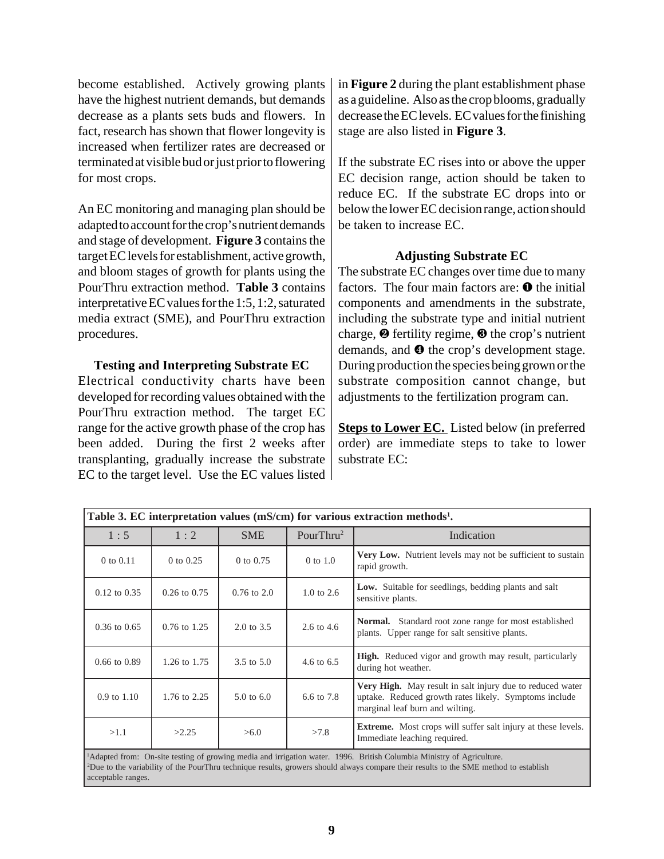become established. Actively growing plants have the highest nutrient demands, but demands decrease as a plants sets buds and flowers. In fact, research has shown that flower longevity is increased when fertilizer rates are decreased or terminated at visible bud or just prior to flowering for most crops.

An EC monitoring and managing plan should be adapted to account for the crop's nutrient demands and stage of development. **Figure 3** contains the target EC levels for establishment, active growth, and bloom stages of growth for plants using the PourThru extraction method. **Table 3** contains interpretative EC values for the 1:5, 1:2, saturated media extract (SME), and PourThru extraction procedures.

#### **Testing and Interpreting Substrate EC**

Electrical conductivity charts have been developed for recording values obtained with the PourThru extraction method. The target EC range for the active growth phase of the crop has been added. During the first 2 weeks after transplanting, gradually increase the substrate EC to the target level. Use the EC values listed in **Figure 2** during the plant establishment phase as a guideline. Also as the crop blooms, gradually decrease the EC levels. EC values for the finishing stage are also listed in **Figure 3**.

If the substrate EC rises into or above the upper EC decision range, action should be taken to reduce EC. If the substrate EC drops into or below the lower EC decision range, action should be taken to increase EC.

#### **Adjusting Substrate EC**

The substrate EC changes over time due to many factors. The four main factors are:  $\bullet$  the initial components and amendments in the substrate, including the substrate type and initial nutrient charge,  $\Theta$  fertility regime,  $\Theta$  the crop's nutrient demands, and  $\bullet$  the crop's development stage. During production the species being grown or the substrate composition cannot change, but adjustments to the fertilization program can.

**Steps to Lower EC.** Listed below (in preferred order) are immediate steps to take to lower substrate EC:

|                        |                  |                       |                       | Table 3. EC interpretation values (mS/cm) for various extraction methods <sup>1</sup> .                                                                                                                                                                                                |
|------------------------|------------------|-----------------------|-----------------------|----------------------------------------------------------------------------------------------------------------------------------------------------------------------------------------------------------------------------------------------------------------------------------------|
| 1:5                    | 1:2              | <b>SME</b>            | PourThru <sup>2</sup> | Indication                                                                                                                                                                                                                                                                             |
| 0 to 0.11              | 0 to 0.25        | 0 to 0.75             | 0 to 1.0              | <b>Very Low.</b> Nutrient levels may not be sufficient to sustain<br>rapid growth.                                                                                                                                                                                                     |
| $0.12$ to $0.35$       | $0.26$ to $0.75$ | $0.76$ to $2.0$       | $1.0 \text{ to } 2.6$ | <b>Low.</b> Suitable for seedlings, bedding plants and salt<br>sensitive plants.                                                                                                                                                                                                       |
| $0.36$ to $0.65$       | $0.76$ to $1.25$ | $2.0 \text{ to } 3.5$ | 2.6 to 4.6            | <b>Normal.</b> Standard root zone range for most established<br>plants. Upper range for salt sensitive plants.                                                                                                                                                                         |
| $0.66$ to $0.89$       | 1.26 to 1.75     | $3.5 \text{ to } 5.0$ | 4.6 to 6.5            | <b>High.</b> Reduced vigor and growth may result, particularly<br>during hot weather.                                                                                                                                                                                                  |
| $0.9 \text{ to } 1.10$ | 1.76 to 2.25     | $5.0 \text{ to } 6.0$ | 6.6 to 7.8            | Very High. May result in salt injury due to reduced water<br>uptake. Reduced growth rates likely. Symptoms include<br>marginal leaf burn and wilting.                                                                                                                                  |
| >1.1                   | >2.25            | >6.0                  | >7.8                  | <b>Extreme.</b> Most crops will suffer salt injury at these levels.<br>Immediate leaching required.                                                                                                                                                                                    |
|                        |                  |                       |                       | <sup>1</sup> Adapted from: On-site testing of growing media and irrigation water. 1996. British Columbia Ministry of Agriculture.<br><sup>2</sup> Due to the variability of the PourThru technique results, growers should always compare their results to the SME method to establish |

acceptable ranges.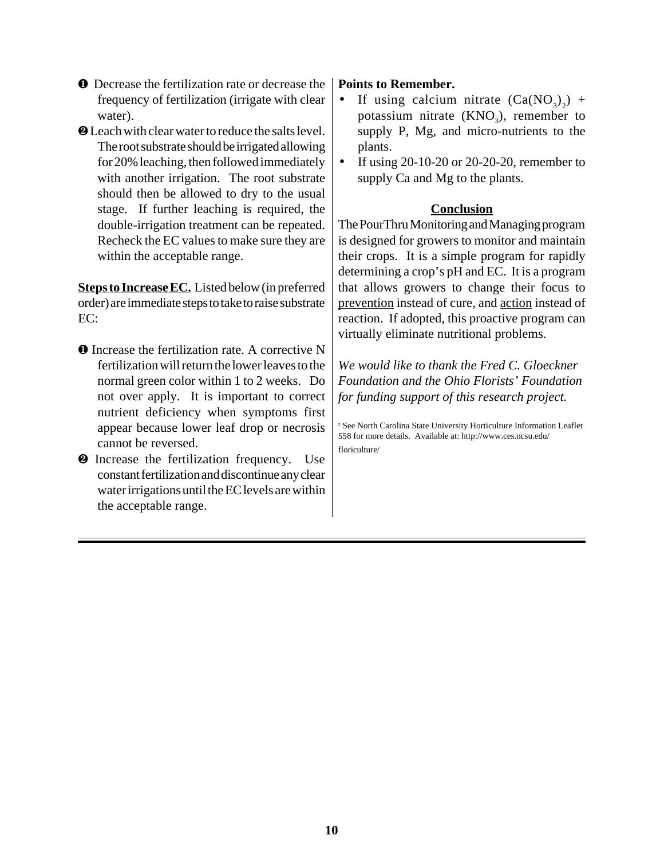- ❶ Decrease the fertilization rate or decrease the frequency of fertilization (irrigate with clear water).
- ❷ Leach with clear water to reduce the salts level. The root substrate should be irrigated allowing for 20% leaching, then followed immediately with another irrigation. The root substrate should then be allowed to dry to the usual stage. If further leaching is required, the double-irrigation treatment can be repeated. Recheck the EC values to make sure they are within the acceptable range.

**Steps to Increase EC.** Listed below (in preferred order) are immediate steps to take to raise substrate EC:

- ❶ Increase the fertilization rate. A corrective N fertilization will return the lower leaves to the normal green color within 1 to 2 weeks. Do not over apply. It is important to correct nutrient deficiency when symptoms first appear because lower leaf drop or necrosis cannot be reversed.
- ❷ Increase the fertilization frequency. Use constant fertilization and discontinue any clear water irrigations until the EC levels are within the acceptable range.

#### **Points to Remember.**

- If using calcium nitrate  $(Ca(NO<sub>3</sub>)<sub>2</sub>)$  + potassium nitrate  $(KNO_3)$ , remember to supply P, Mg, and micro-nutrients to the plants.
- If using 20-10-20 or 20-20-20, remember to supply Ca and Mg to the plants.

#### **Conclusion**

The PourThru Monitoring and Managing program is designed for growers to monitor and maintain their crops. It is a simple program for rapidly determining a crop's pH and EC. It is a program that allows growers to change their focus to prevention instead of cure, and action instead of reaction. If adopted, this proactive program can virtually eliminate nutritional problems.

*We would like to thank the Fred C. Gloeckner Foundation and the Ohio Florists' Foundation for funding support of this research project.*

<sup>z</sup> See North Carolina State University Horticulture Information Leaflet 558 for more details. Available at: http://www.ces.ncsu.edu/ floriculture/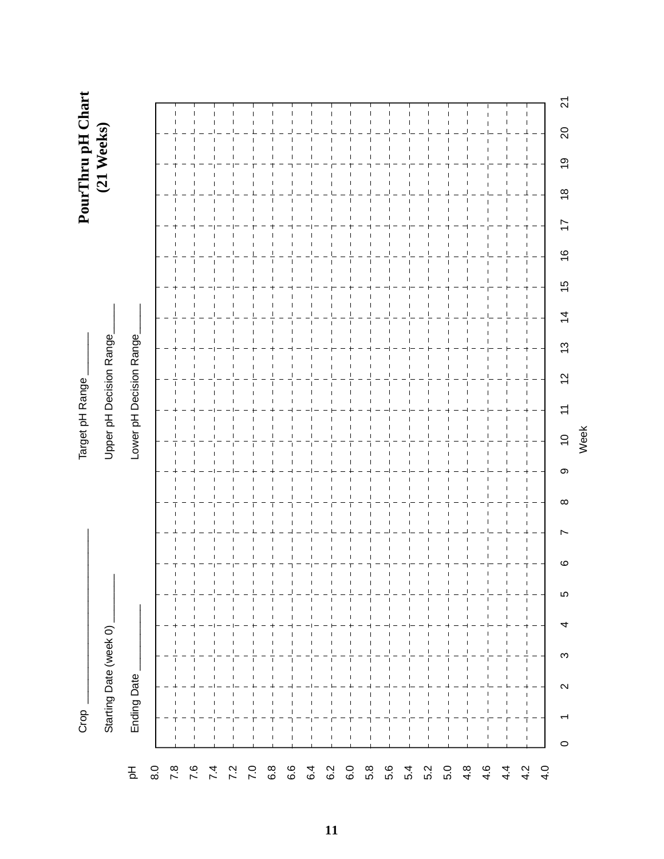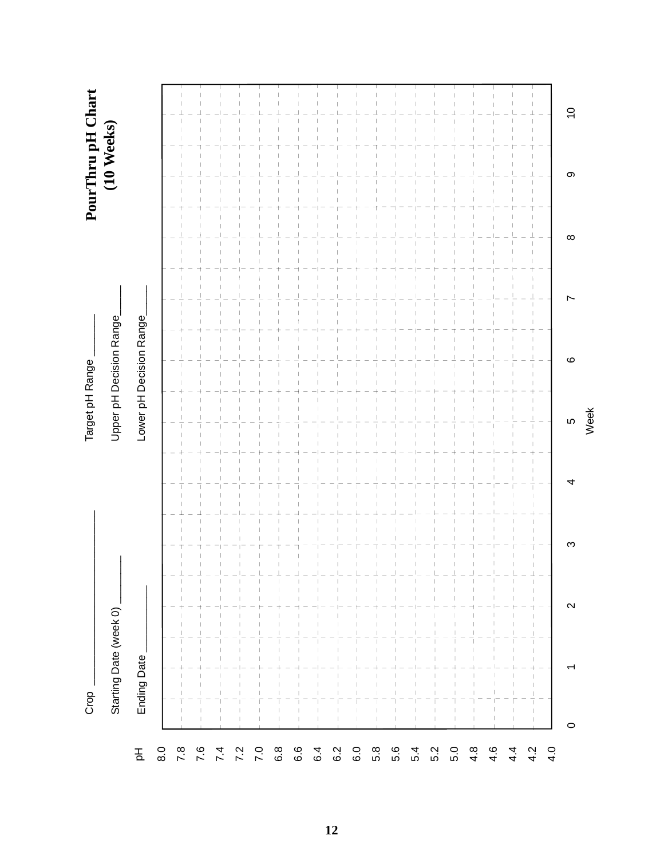| PourThru pH Chart<br>(10 Weeks)<br>$\overline{C}$<br>တ<br>$\infty$<br>Upper pH Decision Range<br>Lower pH Decision Range<br>ဖ<br>LO<br>₹<br>က<br>f,<br>⊥<br>$\mathbf{I}$<br>$\mathbf{\Omega}$<br>Starting Date (week 0)<br>$\overline{1}$<br>$\overline{1}$<br>Ending Date<br>$\overline{1}$<br>$\overline{1}$<br>$\overline{1}$<br>T<br>0 | Crop |  | Target pH Range |  |  |  |
|--------------------------------------------------------------------------------------------------------------------------------------------------------------------------------------------------------------------------------------------------------------------------------------------------------------------------------------------|------|--|-----------------|--|--|--|
|                                                                                                                                                                                                                                                                                                                                            |      |  |                 |  |  |  |
|                                                                                                                                                                                                                                                                                                                                            |      |  |                 |  |  |  |
|                                                                                                                                                                                                                                                                                                                                            |      |  |                 |  |  |  |
|                                                                                                                                                                                                                                                                                                                                            |      |  |                 |  |  |  |
|                                                                                                                                                                                                                                                                                                                                            |      |  |                 |  |  |  |
|                                                                                                                                                                                                                                                                                                                                            |      |  |                 |  |  |  |
|                                                                                                                                                                                                                                                                                                                                            |      |  |                 |  |  |  |
|                                                                                                                                                                                                                                                                                                                                            |      |  |                 |  |  |  |
|                                                                                                                                                                                                                                                                                                                                            |      |  |                 |  |  |  |
|                                                                                                                                                                                                                                                                                                                                            |      |  |                 |  |  |  |
|                                                                                                                                                                                                                                                                                                                                            |      |  |                 |  |  |  |
|                                                                                                                                                                                                                                                                                                                                            |      |  |                 |  |  |  |
|                                                                                                                                                                                                                                                                                                                                            |      |  |                 |  |  |  |
|                                                                                                                                                                                                                                                                                                                                            |      |  |                 |  |  |  |
|                                                                                                                                                                                                                                                                                                                                            |      |  |                 |  |  |  |
|                                                                                                                                                                                                                                                                                                                                            |      |  |                 |  |  |  |
|                                                                                                                                                                                                                                                                                                                                            |      |  |                 |  |  |  |
|                                                                                                                                                                                                                                                                                                                                            |      |  |                 |  |  |  |
|                                                                                                                                                                                                                                                                                                                                            |      |  |                 |  |  |  |
|                                                                                                                                                                                                                                                                                                                                            |      |  |                 |  |  |  |
|                                                                                                                                                                                                                                                                                                                                            |      |  |                 |  |  |  |
|                                                                                                                                                                                                                                                                                                                                            |      |  |                 |  |  |  |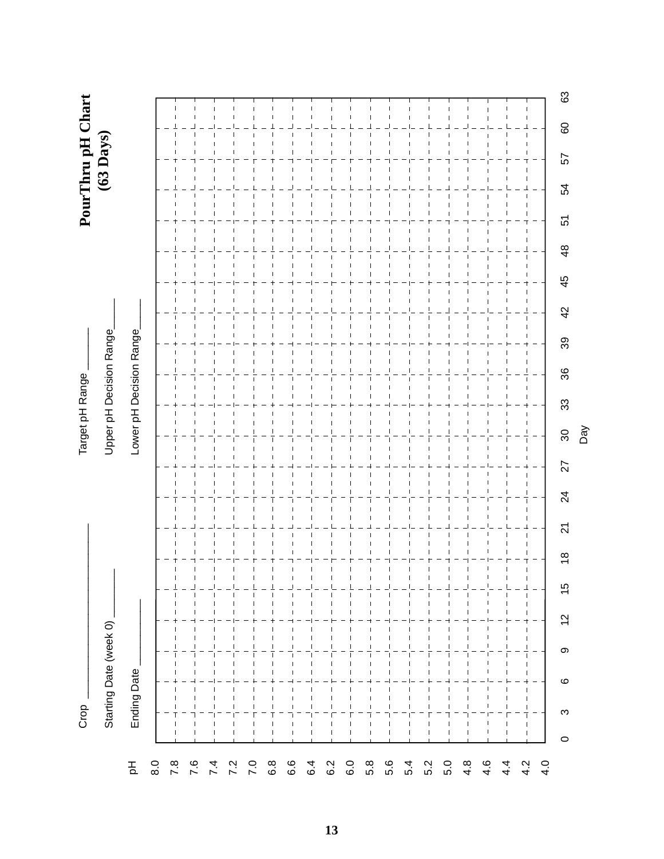| PourThru pH Chart<br>(63 Days)<br>80<br>57<br>54<br>51<br>48<br>45<br>42<br>Lower pH Decision Range<br>Upper pH Decision Range<br>89<br>36<br>33<br>30<br>27<br>$\overline{24}$<br>21<br>$\frac{8}{1}$<br>$\mathbf{I}$<br>$\mathbf{I}$<br>15<br>$\mathsf I$<br>$\overline{1}$<br>$\mathbf{I}$<br>$\overline{c}$<br>Starting Date (week 0)<br>$\overline{1}$<br>$\mathbf{I}$<br>$\overline{1}$<br>$\overline{1}$<br>$\mathsf I$<br>$\overline{1}$<br>တ<br><b>Ending Date</b><br>$\circ$<br>$\mathbf{I}$<br>$\overline{1}$<br>$\overline{\phantom{a}}$<br>$\overline{\phantom{a}}$<br>S<br>$\overline{\phantom{a}}$<br>$\circ$ | Crop |  |  |  |  |  |  |  |  |
|------------------------------------------------------------------------------------------------------------------------------------------------------------------------------------------------------------------------------------------------------------------------------------------------------------------------------------------------------------------------------------------------------------------------------------------------------------------------------------------------------------------------------------------------------------------------------------------------------------------------------|------|--|--|--|--|--|--|--|--|
|                                                                                                                                                                                                                                                                                                                                                                                                                                                                                                                                                                                                                              |      |  |  |  |  |  |  |  |  |
|                                                                                                                                                                                                                                                                                                                                                                                                                                                                                                                                                                                                                              |      |  |  |  |  |  |  |  |  |
|                                                                                                                                                                                                                                                                                                                                                                                                                                                                                                                                                                                                                              |      |  |  |  |  |  |  |  |  |
|                                                                                                                                                                                                                                                                                                                                                                                                                                                                                                                                                                                                                              |      |  |  |  |  |  |  |  |  |
|                                                                                                                                                                                                                                                                                                                                                                                                                                                                                                                                                                                                                              |      |  |  |  |  |  |  |  |  |
|                                                                                                                                                                                                                                                                                                                                                                                                                                                                                                                                                                                                                              |      |  |  |  |  |  |  |  |  |
|                                                                                                                                                                                                                                                                                                                                                                                                                                                                                                                                                                                                                              |      |  |  |  |  |  |  |  |  |
|                                                                                                                                                                                                                                                                                                                                                                                                                                                                                                                                                                                                                              |      |  |  |  |  |  |  |  |  |
|                                                                                                                                                                                                                                                                                                                                                                                                                                                                                                                                                                                                                              |      |  |  |  |  |  |  |  |  |
|                                                                                                                                                                                                                                                                                                                                                                                                                                                                                                                                                                                                                              |      |  |  |  |  |  |  |  |  |
|                                                                                                                                                                                                                                                                                                                                                                                                                                                                                                                                                                                                                              |      |  |  |  |  |  |  |  |  |
|                                                                                                                                                                                                                                                                                                                                                                                                                                                                                                                                                                                                                              |      |  |  |  |  |  |  |  |  |
|                                                                                                                                                                                                                                                                                                                                                                                                                                                                                                                                                                                                                              |      |  |  |  |  |  |  |  |  |
|                                                                                                                                                                                                                                                                                                                                                                                                                                                                                                                                                                                                                              |      |  |  |  |  |  |  |  |  |
|                                                                                                                                                                                                                                                                                                                                                                                                                                                                                                                                                                                                                              |      |  |  |  |  |  |  |  |  |
|                                                                                                                                                                                                                                                                                                                                                                                                                                                                                                                                                                                                                              |      |  |  |  |  |  |  |  |  |
|                                                                                                                                                                                                                                                                                                                                                                                                                                                                                                                                                                                                                              |      |  |  |  |  |  |  |  |  |
|                                                                                                                                                                                                                                                                                                                                                                                                                                                                                                                                                                                                                              |      |  |  |  |  |  |  |  |  |
|                                                                                                                                                                                                                                                                                                                                                                                                                                                                                                                                                                                                                              |      |  |  |  |  |  |  |  |  |
|                                                                                                                                                                                                                                                                                                                                                                                                                                                                                                                                                                                                                              |      |  |  |  |  |  |  |  |  |
|                                                                                                                                                                                                                                                                                                                                                                                                                                                                                                                                                                                                                              |      |  |  |  |  |  |  |  |  |
|                                                                                                                                                                                                                                                                                                                                                                                                                                                                                                                                                                                                                              |      |  |  |  |  |  |  |  |  |
|                                                                                                                                                                                                                                                                                                                                                                                                                                                                                                                                                                                                                              |      |  |  |  |  |  |  |  |  |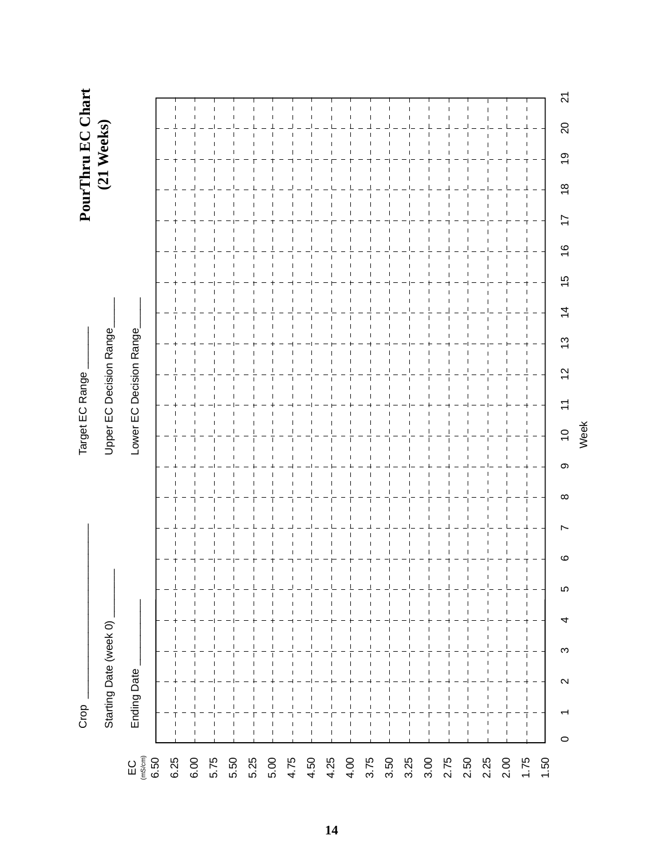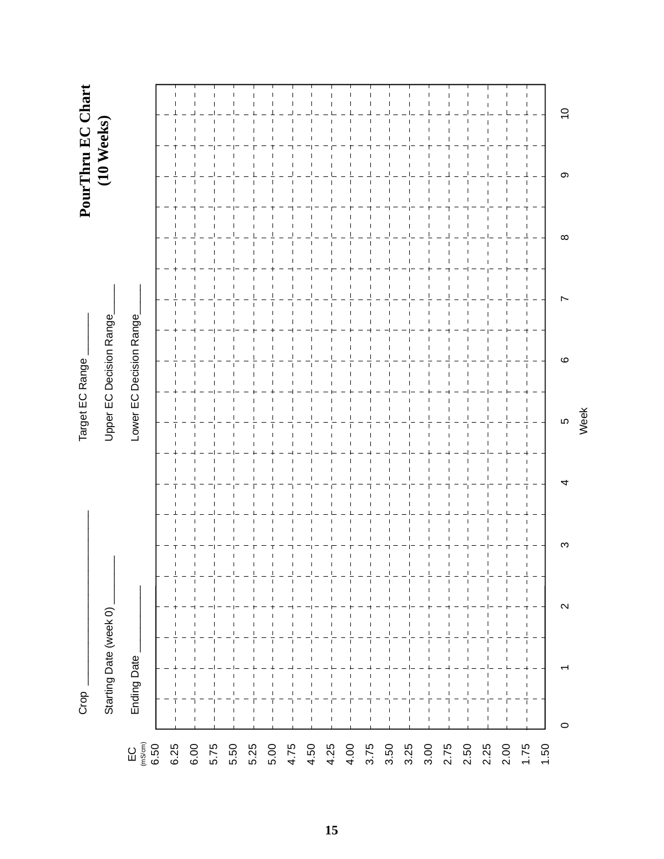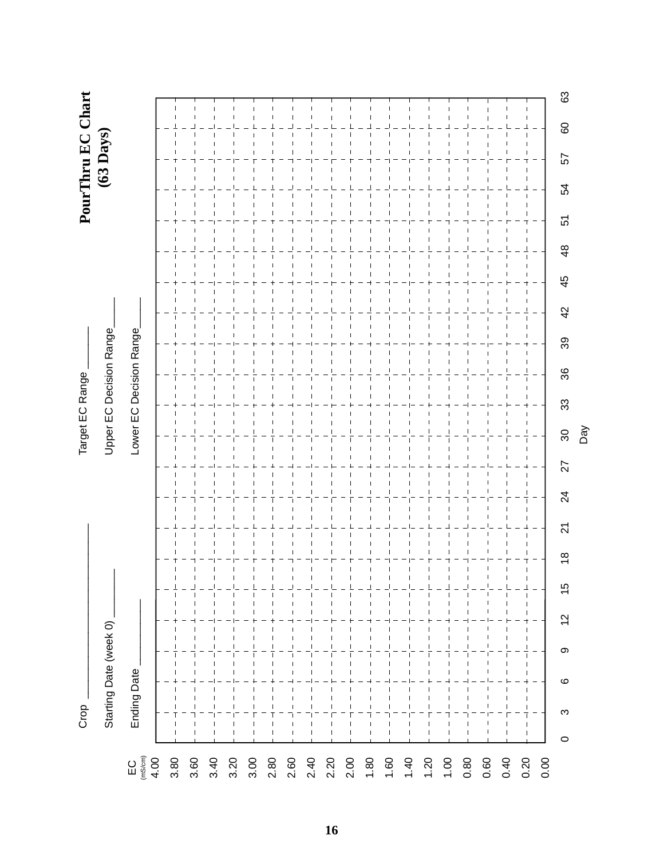